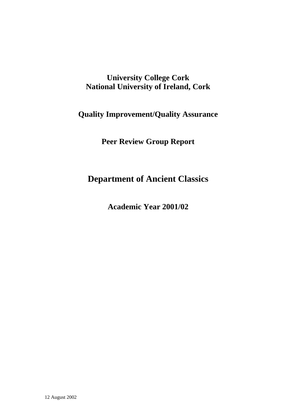# **University College Cork National University of Ireland, Cork**

# **Quality Improvement/Quality Assurance**

**Peer Review Group Report** 

# **Department of Ancient Classics**

**Academic Year 2001/02**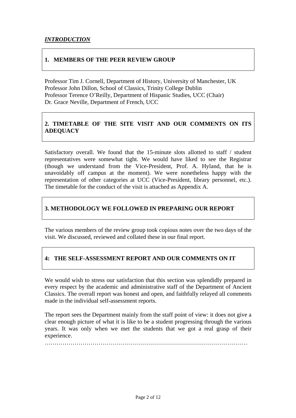#### **1. MEMBERS OF THE PEER REVIEW GROUP**

Professor Tim J. Cornell, Department of History, University of Manchester, UK Professor John Dillon, School of Classics, Trinity College Dublin Professor Terence O'Reilly, Department of Hispanic Studies, UCC (Chair) Dr. Grace Neville, Department of French, UCC

### **2. TIMETABLE OF THE SITE VISIT AND OUR COMMENTS ON ITS ADEQUACY**

Satisfactory overall. We found that the 15-minute slots allotted to staff / student representatives were somewhat tight. We would have liked to see the Registrar (though we understand from the Vice-President, Prof. A. Hyland, that he is unavoidably off campus at the moment). We were nonetheless happy with the representation of other categories at UCC (Vice-President, library personnel, etc.). The timetable for the conduct of the visit is attached as Appendix A.

#### **3. METHODOLOGY WE FOLLOWED IN PREPARING OUR REPORT**

The various members of the review group took copious notes over the two days of the visit. We discussed, reviewed and collated these in our final report.

### **4: THE SELF-ASSESSMENT REPORT AND OUR COMMENTS ON IT**

We would wish to stress our satisfaction that this section was splendidly prepared in every respect by the academic and administrative staff of the Department of Ancient Classics. The overall report was honest and open, and faithfully relayed all comments made in the individual self-assessment reports.

The report sees the Department mainly from the staff point of view: it does not give a clear enough picture of what it is like to be a student progressing through the various years. It was only when we met the students that we got a real grasp of their experience.

…………………………………………………………………………………………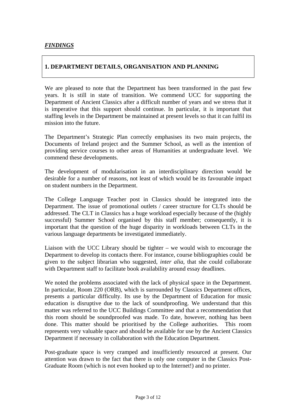#### **1. DEPARTMENT DETAILS, ORGANISATION AND PLANNING**

We are pleased to note that the Department has been transformed in the past few years. It is still in state of transition. We commend UCC for supporting the Department of Ancient Classics after a difficult number of years and we stress that it is imperative that this support should continue. In particular, it is important that staffing levels in the Department be maintained at present levels so that it can fulfil its mission into the future.

The Department's Strategic Plan correctly emphasises its two main projects, the Documents of Ireland project and the Summer School, as well as the intention of providing service courses to other areas of Humanities at undergraduate level. We commend these developments.

The development of modularisation in an interdisciplinary direction would be desirable for a number of reasons, not least of which would be its favourable impact on student numbers in the Department.

The College Language Teacher post in Classics should be integrated into the Department. The issue of promotional outlets / career structure for CLTs should be addressed. The CLT in Classics has a huge workload especially because of the (highly successful) Summer School organised by this staff member; consequently, it is important that the question of the huge disparity in workloads between CLTs in the various language departments be investigated immediately.

Liaison with the UCC Library should be tighter – we would wish to encourage the Department to develop its contacts there. For instance, course bibliographies could be given to the subject librarian who suggested, *inter alia*, that she could collaborate with Department staff to facilitate book availability around essay deadlines.

We noted the problems associated with the lack of physical space in the Department. In particular, Room 220 (ORB), which is surrounded by Classics Department offices, presents a particular difficulty. Its use by the Department of Education for music education is disruptive due to the lack of soundproofing. We understand that this matter was referred to the UCC Buildings Committee and that a recommendation that this room should be soundproofed was made. To date, however, nothing has been done. This matter should be prioritised by the College authorities. This room represents very valuable space and should be available for use by the Ancient Classics Department if necessary in collaboration with the Education Department.

Post-graduate space is very cramped and insufficiently resourced at present. Our attention was drawn to the fact that there is only one computer in the Classics Post-Graduate Room (which is not even hooked up to the Internet!) and no printer.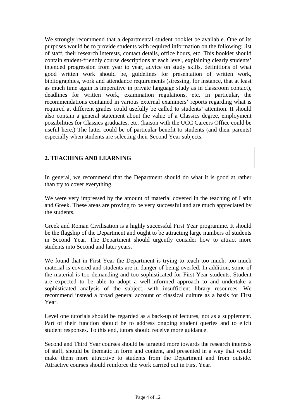We strongly recommend that a departmental student booklet be available. One of its purposes would be to provide students with required information on the following: list of staff, their research interests, contact details, office hours, etc. This booklet should contain student-friendly course descriptions at each level, explaining clearly students' intended progression from year to year, advice on study skills, definitions of what good written work should be, guidelines for presentation of written work, bibliographies, work and attendance requirements (stressing, for instance, that at least as much time again is imperative in private language study as in classroom contact), deadlines for written work, examination regulations, etc. In particular, the recommendations contained in various external examiners' reports regarding what is required at different grades could usefully be called to students' attention. It should also contain a general statement about the value of a Classics degree, employment possibilities for Classics graduates, etc. (liaison with the UCC Careers Office could be useful here.) The latter could be of particular benefit to students (and their parents) especially when students are selecting their Second Year subjects.

### **2. TEACHING AND LEARNING**

In general, we recommend that the Department should do what it is good at rather than try to cover everything,

We were very impressed by the amount of material covered in the teaching of Latin and Greek. These areas are proving to be very successful and are much appreciated by the students.

Greek and Roman Civilisation is a highly successful First Year programme. It should be the flagship of the Department and ought to be attracting large numbers of students in Second Year. The Department should urgently consider how to attract more students into Second and later years.

We found that in First Year the Department is trying to teach too much: too much material is covered and students are in danger of being overfed. In addition, some of the material is too demanding and too sophisticated for First Year students. Student are expected to be able to adopt a well-informed approach to and undertake a sophisticated analysis of the subject, with insufficient library resources. We recommend instead a broad general account of classical culture as a basis for First Year.

Level one tutorials should be regarded as a back-up of lectures, not as a supplement. Part of their function should be to address ongoing student queries and to elicit student responses. To this end, tutors should receive more guidance.

Second and Third Year courses should be targeted more towards the research interests of staff, should be thematic in form and content, and presented in a way that would make them more attractive to students from the Department and from outside. Attractive courses should reinforce the work carried out in First Year.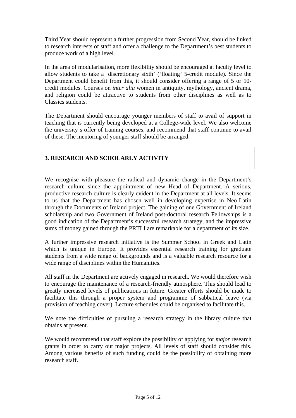Third Year should represent a further progression from Second Year, should be linked to research interests of staff and offer a challenge to the Department's best students to produce work of a high level.

In the area of modularisation, more flexibility should be encouraged at faculty level to allow students to take a 'discretionary sixth' ('floating' 5-credit module). Since the Department could benefit from this, it should consider offering a range of 5 or 10 credit modules. Courses on *inter alia* women in antiquity, mythology, ancient drama, and religion could be attractive to students from other disciplines as well as to Classics students.

The Department should encourage younger members of staff to avail of support in teaching that is currently being developed at a College-wide level. We also welcome the university's offer of training courses, and recommend that staff continue to avail of these. The mentoring of younger staff should be arranged.

#### **3. RESEARCH AND SCHOLARLY ACTIVITY**

We recognise with pleasure the radical and dynamic change in the Department's research culture since the appointment of new Head of Department. A serious, productive research culture is clearly evident in the Department at all levels. It seems to us that the Department has chosen well in developing expertise in Neo-Latin through the Documents of Ireland project. The gaining of one Government of Ireland scholarship and two Government of Ireland post-doctoral research Fellowships is a good indication of the Department's successful research strategy, and the impressive sums of money gained through the PRTLI are remarkable for a department of its size.

A further impressive research initiative is the Summer School in Greek and Latin which is unique in Europe. It provides essential research training for graduate students from a wide range of backgrounds and is a valuable research resource for a wide range of disciplines within the Humanities.

All staff in the Department are actively engaged in research. We would therefore wish to encourage the maintenance of a research-friendly atmosphere. This should lead to greatly increased levels of publications in future. Greater efforts should be made to facilitate this through a proper system and programme of sabbatical leave (via provision of teaching cover). Lecture schedules could be organised to facilitate this.

We note the difficulties of pursuing a research strategy in the library culture that obtains at present.

We would recommend that staff explore the possibility of applying for *major* research grants in order to carry out major projects. All levels of staff should consider this. Among various benefits of such funding could be the possibility of obtaining more research staff.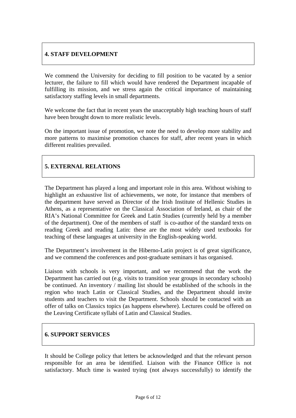#### **4. STAFF DEVELOPMENT**

We commend the University for deciding to fill position to be vacated by a senior lecturer, the failure to fill which would have rendered the Department incapable of fulfilling its mission, and we stress again the critical importance of maintaining satisfactory staffing levels in small departments.

We welcome the fact that in recent years the unacceptably high teaching hours of staff have been brought down to more realistic levels.

On the important issue of promotion, we note the need to develop more stability and more patterns to maximise promotion chances for staff, after recent years in which different realities prevailed.

### **5. EXTERNAL RELATIONS**

The Department has played a long and important role in this area. Without wishing to highlight an exhaustive list of achievements, we note, for instance that members of the department have served as Director of the Irish Institute of Hellenic Studies in Athens, as a representative on the Classical Association of Ireland, as chair of the RIA's National Committee for Greek and Latin Studies (currently held by a member of the department). One of the members of staff is co-author of the standard texts on reading Greek and reading Latin: these are the most widely used textbooks for teaching of these languages at university in the English-speaking world.

The Department's involvement in the Hiberno-Latin project is of great significance, and we commend the conferences and post-graduate seminars it has organised.

Liaison with schools is very important, and we recommend that the work the Department has carried out (e.g. visits to transition year groups in secondary schools) be continued. An inventory / mailing list should be established of the schools in the region who teach Latin or Classical Studies, and the Department should invite students and teachers to visit the Department. Schools should be contacted with an offer of talks on Classics topics (as happens elsewhere). Lectures could be offered on the Leaving Certificate syllabi of Latin and Classical Studies.

#### **6. SUPPORT SERVICES**

It should be College policy that letters be acknowledged and that the relevant person responsible for an area be identified. Liaison with the Finance Office is not satisfactory. Much time is wasted trying (not always successfully) to identify the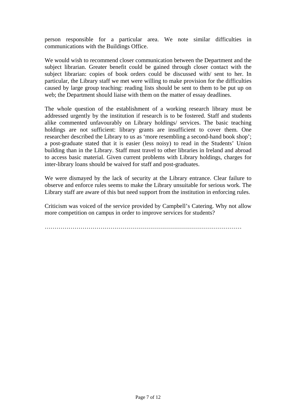person responsible for a particular area. We note similar difficulties in communications with the Buildings Office.

We would wish to recommend closer communication between the Department and the subject librarian. Greater benefit could be gained through closer contact with the subject librarian: copies of book orders could be discussed with/ sent to her. In particular, the Library staff we met were willing to make provision for the difficulties caused by large group teaching: reading lists should be sent to them to be put up on web; the Department should liaise with them on the matter of essay deadlines.

The whole question of the establishment of a working research library must be addressed urgently by the institution if research is to be fostered. Staff and students alike commented unfavourably on Library holdings/ services. The basic teaching holdings are not sufficient: library grants are insufficient to cover them. One researcher described the Library to us as 'more resembling a second-hand book shop'; a post-graduate stated that it is easier (less noisy) to read in the Students' Union building than in the Library. Staff must travel to other libraries in Ireland and abroad to access basic material. Given current problems with Library holdings, charges for inter-library loans should be waived for staff and post-graduates.

We were dismayed by the lack of security at the Library entrance. Clear failure to observe and enforce rules seems to make the Library unsuitable for serious work. The Library staff are aware of this but need support from the institution in enforcing rules.

Criticism was voiced of the service provided by Campbell's Catering. Why not allow more competition on campus in order to improve services for students?

………………………………………………………………………………………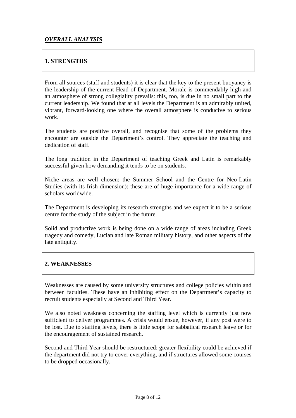#### **1. STRENGTHS**

From all sources (staff and students) it is clear that the key to the present buoyancy is the leadership of the current Head of Department. Morale is commendably high and an atmosphere of strong collegiality prevails: this, too, is due in no small part to the current leadership. We found that at all levels the Department is an admirably united, vibrant, forward-looking one where the overall atmosphere is conducive to serious work.

The students are positive overall, and recognise that some of the problems they encounter are outside the Department's control. They appreciate the teaching and dedication of staff.

The long tradition in the Department of teaching Greek and Latin is remarkably successful given how demanding it tends to be on students.

Niche areas are well chosen: the Summer School and the Centre for Neo-Latin Studies (with its Irish dimension): these are of huge importance for a wide range of scholars worldwide.

The Department is developing its research strengths and we expect it to be a serious centre for the study of the subject in the future.

Solid and productive work is being done on a wide range of areas including Greek tragedy and comedy, Lucian and late Roman military history, and other aspects of the late antiquity.

#### **2. WEAKNESSES**

Weaknesses are caused by some university structures and college policies within and between faculties. These have an inhibiting effect on the Department's capacity to recruit students especially at Second and Third Year.

We also noted weakness concerning the staffing level which is currently just now sufficient to deliver programmes. A crisis would ensue, however, if any post were to be lost. Due to staffing levels, there is little scope for sabbatical research leave or for the encouragement of sustained research.

Second and Third Year should be restructured: greater flexibility could be achieved if the department did not try to cover everything, and if structures allowed some courses to be dropped occasionally.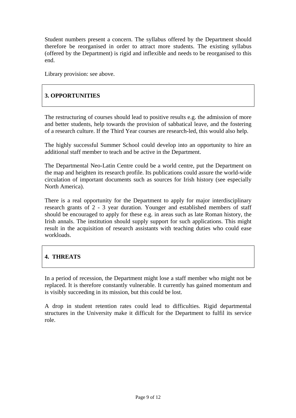Student numbers present a concern. The syllabus offered by the Department should therefore be reorganised in order to attract more students. The existing syllabus (offered by the Department) is rigid and inflexible and needs to be reorganised to this end.

Library provision: see above.

#### **3. OPPORTUNITIES**

The restructuring of courses should lead to positive results e.g. the admission of more and better students, help towards the provision of sabbatical leave, and the fostering of a research culture. If the Third Year courses are research-led, this would also help.

The highly successful Summer School could develop into an opportunity to hire an additional staff member to teach and be active in the Department.

The Departmental Neo-Latin Centre could be a world centre, put the Department on the map and heighten its research profile. Its publications could assure the world-wide circulation of important documents such as sources for Irish history (see especially North America).

There is a real opportunity for the Department to apply for major interdisciplinary research grants of 2 - 3 year duration. Younger and established members of staff should be encouraged to apply for these e.g. in areas such as late Roman history, the Irish annals. The institution should supply support for such applications. This might result in the acquisition of research assistants with teaching duties who could ease workloads.

### **4. THREATS**

In a period of recession, the Department might lose a staff member who might not be replaced. It is therefore constantly vulnerable. It currently has gained momentum and is visibly succeeding in its mission, but this could be lost.

A drop in student retention rates could lead to difficulties. Rigid departmental structures in the University make it difficult for the Department to fulfil its service role.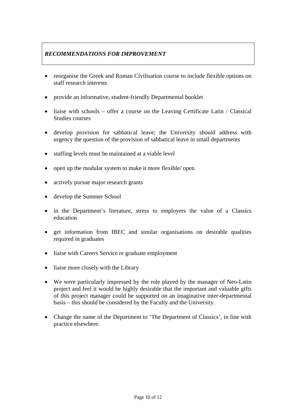## *RECOMMENDATIONS FOR IMPROVEMENT*

- reorganise the Greek and Roman Civilisation course to include flexible options on staff research interests
- provide an informative, student-friendly Departmental booklet
- liaise with schools offer a course on the Leaving Certificate Latin / Classical Studies courses
- develop provision for sabbatical leave; the University should address with urgency the question of the provision of sabbatical leave in small departments
- staffing levels must be maintained at a viable level
- open up the modular system to make it more flexible/ open
- actively pursue major research grants
- develop the Summer School
- in the Department's literature, stress to employers the value of a Classics education
- get information from IBEC and similar organisations on desirable qualities required in graduates
- liaise with Careers Service re graduate employment
- liaise more closely with the Library
- We were particularly impressed by the role played by the manager of Neo-Latin project and feel it would be highly desirable that the important and valuable gifts of this project manager could be supported on an imaginative inter-departmental basis – this should be considered by the Faculty and the University.
- Change the name of the Department to 'The Department of Classics', in line with practice elsewhere.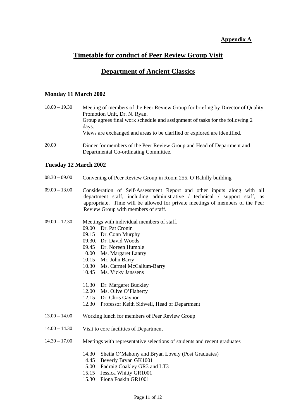#### **Appendix A**

# **Timetable for conduct of Peer Review Group Visit**

## **Department of Ancient Classics**

#### **Monday 11 March 2002**

| $18.00 - 19.30$ | Meeting of members of the Peer Review Group for briefing by Director of Quality |
|-----------------|---------------------------------------------------------------------------------|
|                 | Promotion Unit, Dr. N. Ryan.                                                    |
|                 | Group agrees final work schedule and assignment of tasks for the following 2    |
|                 | days.                                                                           |
|                 | Views are exchanged and areas to be clarified or explored are identified.       |
| 20.00           | Dinner for members of the Peer Review Group and Head of Department and          |

#### **Tuesday 12 March 2002**

08.30 – 09.00 Convening of Peer Review Group in Room 255, O'Rahilly building

Departmental Co-ordinating Committee.

- 09.00 13.00 Consideration of Self-Assessment Report and other inputs along with all department staff, including administrative / technical / support staff, as appropriate. Time will be allowed for private meetings of members of the Peer Review Group with members of staff.
- 09.00 12.30 Meetings with individual members of staff.
	- 09.00 Dr. Pat Cronin
	- 09.15 Dr. Conn Murphy
	- 09.30. Dr. David Woods
	- 09.45 Dr. Noreen Humble
	- 10.00 Ms. Margaret Lantry
	- 10.15 Mr. John Barry
	- 10.30 Ms. Carmel McCallum-Barry
	- 10.45 Ms. Vicky Janssens
	- 11.30 Dr. Margaret Buckley
	- 12.00 Ms. Olive O'Flaherty
	- 12.15 Dr. Chris Gaynor
	- 12.30 Professor Keith Sidwell, Head of Department
- 13.00 14.00 Working lunch for members of Peer Review Group
- 14.00 14.30 Visit to core facilities of Department
- 14.30 17.00 Meetings with representative selections of students and recent graduates
	- 14.30 Sheila O'Mahony and Bryan Lovely (Post Graduates)
	- 14.45 Beverly Bryan GK1001
	- 15.00 Padraig Coakley GR3 and LT3
	- 15.15 Jessica Whitty GR1001
	- 15.30 Fiona Foskin GR1001